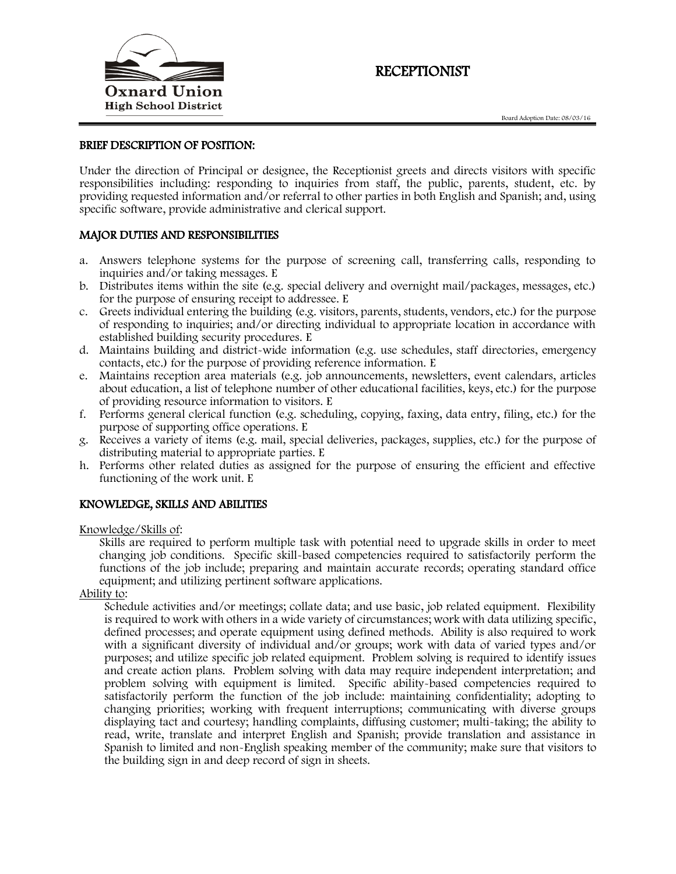

# RECEPTIONIST

#### BRIEF DESCRIPTION OF POSITION:

Under the direction of Principal or designee, the Receptionist greets and directs visitors with specific responsibilities including: responding to inquiries from staff, the public, parents, student, etc. by providing requested information and/or referral to other parties in both English and Spanish; and, using specific software, provide administrative and clerical support.

#### MAJOR DUTIES AND RESPONSIBILITIES

- a. Answers telephone systems for the purpose of screening call, transferring calls, responding to inquiries and/or taking messages. E
- b. Distributes items within the site (e.g. special delivery and overnight mail/packages, messages, etc.) for the purpose of ensuring receipt to addressee. E
- c. Greets individual entering the building (e.g. visitors, parents, students, vendors, etc.) for the purpose of responding to inquiries; and/or directing individual to appropriate location in accordance with established building security procedures. E
- d. Maintains building and district-wide information (e.g. use schedules, staff directories, emergency contacts, etc.) for the purpose of providing reference information. E
- e. Maintains reception area materials (e.g. job announcements, newsletters, event calendars, articles about education, a list of telephone number of other educational facilities, keys, etc.) for the purpose of providing resource information to visitors. E
- f. Performs general clerical function (e.g. scheduling, copying, faxing, data entry, filing, etc.) for the purpose of supporting office operations. E
- g. Receives a variety of items (e.g. mail, special deliveries, packages, supplies, etc.) for the purpose of distributing material to appropriate parties. E
- h. Performs other related duties as assigned for the purpose of ensuring the efficient and effective functioning of the work unit. E

### KNOWLEDGE, SKILLS AND ABILITIES

#### Knowledge/Skills of:

Skills are required to perform multiple task with potential need to upgrade skills in order to meet changing job conditions. Specific skill-based competencies required to satisfactorily perform the functions of the job include; preparing and maintain accurate records; operating standard office equipment; and utilizing pertinent software applications.

Ability to:

Schedule activities and/or meetings; collate data; and use basic, job related equipment. Flexibility is required to work with others in a wide variety of circumstances; work with data utilizing specific, defined processes; and operate equipment using defined methods. Ability is also required to work with a significant diversity of individual and/or groups; work with data of varied types and/or purposes; and utilize specific job related equipment. Problem solving is required to identify issues and create action plans. Problem solving with data may require independent interpretation; and problem solving with equipment is limited. Specific ability-based competencies required to satisfactorily perform the function of the job include: maintaining confidentiality; adopting to changing priorities; working with frequent interruptions; communicating with diverse groups displaying tact and courtesy; handling complaints, diffusing customer; multi-taking; the ability to read, write, translate and interpret English and Spanish; provide translation and assistance in Spanish to limited and non-English speaking member of the community; make sure that visitors to the building sign in and deep record of sign in sheets.